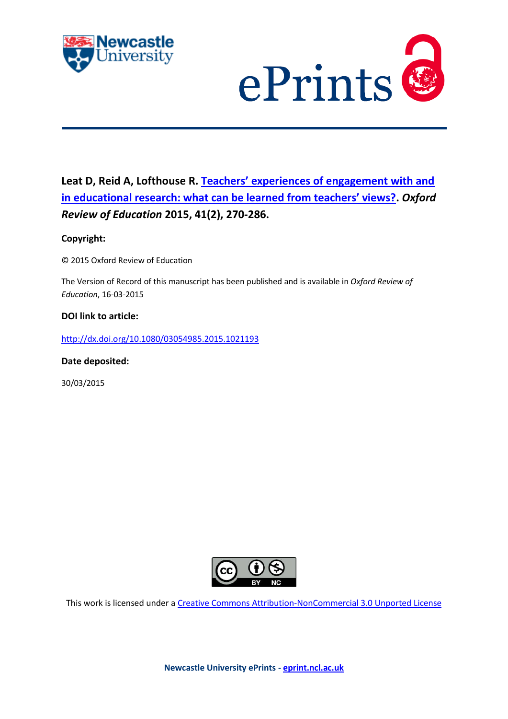



**Leat D, Reid A, Lofthouse R. [Teachers' experiences of engagement with and](javascript:ViewPublication(211125);)  [in educational research: what can be learned from teachers' views?](javascript:ViewPublication(211125);).** *Oxford Review of Education* **2015, 41(2), 270-286.**

# **Copyright:**

© 2015 Oxford Review of Education

The Version of Record of this manuscript has been published and is available in *Oxford Review of Education*, 16-03-2015

## **DOI link to article:**

<http://dx.doi.org/10.1080/03054985.2015.1021193>

**Date deposited:** 

30/03/2015



This work is licensed under a [Creative Commons Attribution-NonCommercial 3.0 Unported License](http://creativecommons.org/licenses/by-nc/3.0/deed.en_GB)

**Newcastle University ePrints - [eprint.ncl.ac.uk](http://eprint.ncl.ac.uk/)**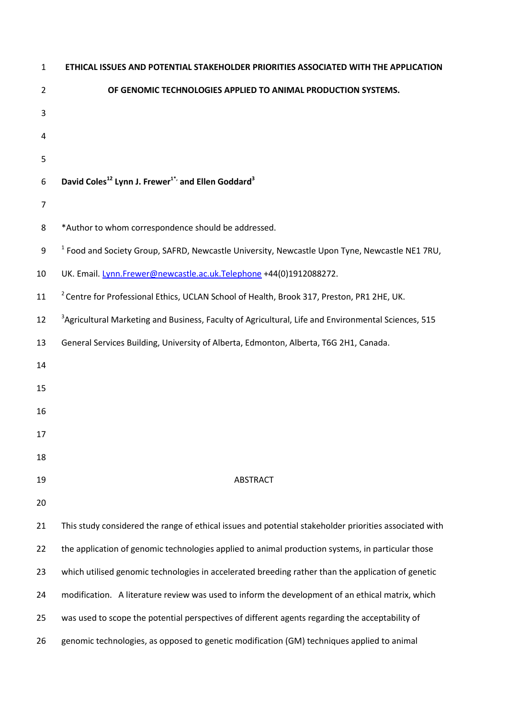| $\mathbf{1}$   | ETHICAL ISSUES AND POTENTIAL STAKEHOLDER PRIORITIES ASSOCIATED WITH THE APPLICATION                             |
|----------------|-----------------------------------------------------------------------------------------------------------------|
| $\overline{2}$ | OF GENOMIC TECHNOLOGIES APPLIED TO ANIMAL PRODUCTION SYSTEMS.                                                   |
| 3              |                                                                                                                 |
| 4              |                                                                                                                 |
| 5              |                                                                                                                 |
| 6              | David Coles <sup>12</sup> Lynn J. Frewer <sup>1*</sup> <sup>2</sup> and Ellen Goddard <sup>3</sup>              |
| 7              |                                                                                                                 |
| 8              | *Author to whom correspondence should be addressed.                                                             |
| 9              | <sup>1</sup> Food and Society Group, SAFRD, Newcastle University, Newcastle Upon Tyne, Newcastle NE1 7RU,       |
| 10             | UK. Email. Lynn.Frewer@newcastle.ac.uk.Telephone +44(0)1912088272.                                              |
| 11             | <sup>2</sup> Centre for Professional Ethics, UCLAN School of Health, Brook 317, Preston, PR1 2HE, UK.           |
| 12             | <sup>3</sup> Agricultural Marketing and Business, Faculty of Agricultural, Life and Environmental Sciences, 515 |
| 13             | General Services Building, University of Alberta, Edmonton, Alberta, T6G 2H1, Canada.                           |
| 14             |                                                                                                                 |
| 15             |                                                                                                                 |
| 16             |                                                                                                                 |
| 17             |                                                                                                                 |
| 18             |                                                                                                                 |
| 19             | <b>ABSTRACT</b>                                                                                                 |
| 20             |                                                                                                                 |
| 21             | This study considered the range of ethical issues and potential stakeholder priorities associated with          |
| 22             | the application of genomic technologies applied to animal production systems, in particular those               |
| 23             | which utilised genomic technologies in accelerated breeding rather than the application of genetic              |
| 24             | modification. A literature review was used to inform the development of an ethical matrix, which                |
| 25             | was used to scope the potential perspectives of different agents regarding the acceptability of                 |
| 26             | genomic technologies, as opposed to genetic modification (GM) techniques applied to animal                      |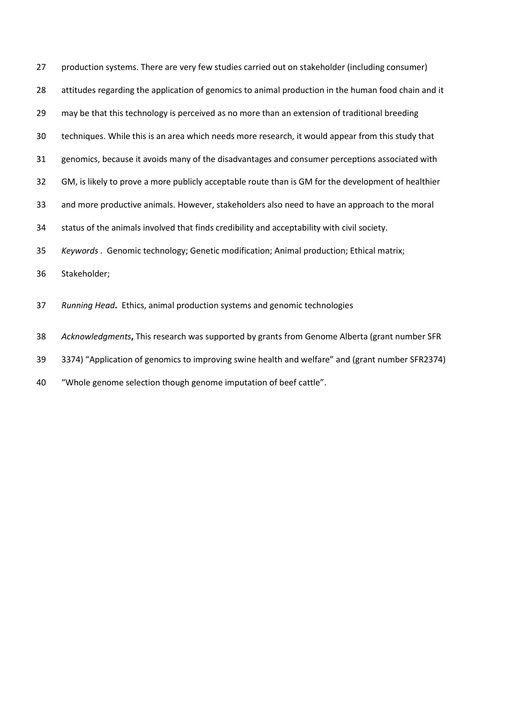production systems. There are very few studies carried out on stakeholder (including consumer) attitudes regarding the application of genomics to animal production in the human food chain and it may be that this technology is perceived as no more than an extension of traditional breeding techniques. While this is an area which needs more research, it would appear from this study that genomics, because it avoids many of the disadvantages and consumer perceptions associated with GM, is likely to prove a more publicly acceptable route than is GM for the development of healthier and more productive animals. However, stakeholders also need to have an approach to the moral status of the animals involved that finds credibility and acceptability with civil society. *Keywords .* Genomic technology; Genetic modification; Animal production; Ethical matrix; Stakeholder; *Running Head***.** Ethics, animal production systems and genomic technologies *Acknowledgments***,** This research was supported by grants from Genome Alberta (grant number SFR

3374) "Application of genomics to improving swine health and welfare" and (grant number SFR2374)

"Whole genome selection though genome imputation of beef cattle".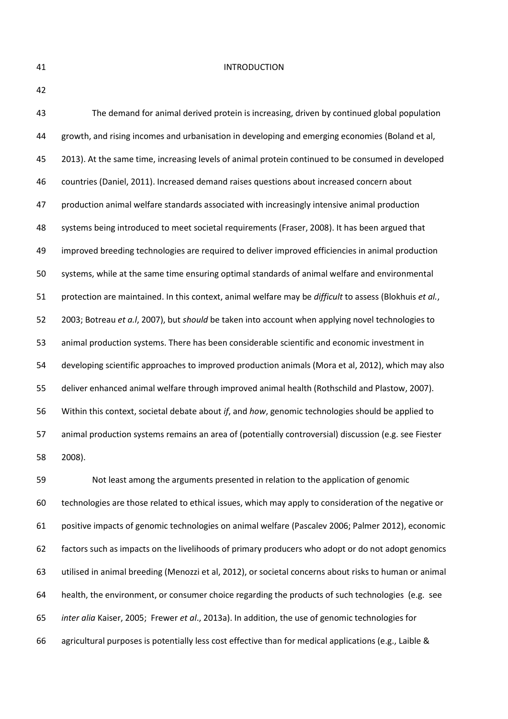INTRODUCTION

 The demand for animal derived protein is increasing, driven by continued global population growth, and rising incomes and urbanisation in developing and emerging economies (Boland et al, 2013). At the same time, increasing levels of animal protein continued to be consumed in developed countries (Daniel, 2011). Increased demand raises questions about increased concern about production animal welfare standards associated with increasingly intensive animal production systems being introduced to meet societal requirements (Fraser, 2008). It has been argued that improved breeding technologies are required to deliver improved efficiencies in animal production systems, while at the same time ensuring optimal standards of animal welfare and environmental protection are maintained. In this context, animal welfare may be *difficult* to assess (Blokhuis *et al.*, 2003; Botreau *et a.l*, 2007), but *should* be taken into account when applying novel technologies to animal production systems. There has been considerable scientific and economic investment in developing scientific approaches to improved production animals (Mora et al, 2012), which may also deliver enhanced animal welfare through improved animal health (Rothschild and Plastow, 2007). Within this context, societal debate about *if*, and *how*, genomic technologies should be applied to animal production systems remains an area of (potentially controversial) discussion (e.g. see Fiester 2008).

 Not least among the arguments presented in relation to the application of genomic technologies are those related to ethical issues, which may apply to consideration of the negative or positive impacts of genomic technologies on animal welfare (Pascalev 2006; Palmer 2012), economic factors such as impacts on the livelihoods of primary producers who adopt or do not adopt genomics utilised in animal breeding (Menozzi et al, 2012), or societal concerns about risks to human or animal health, the environment, or consumer choice regarding the products of such technologies (e.g. see *inter alia* Kaiser, 2005; Frewer *et al*., 2013a). In addition, the use of genomic technologies for agricultural purposes is potentially less cost effective than for medical applications (e.g., Laible &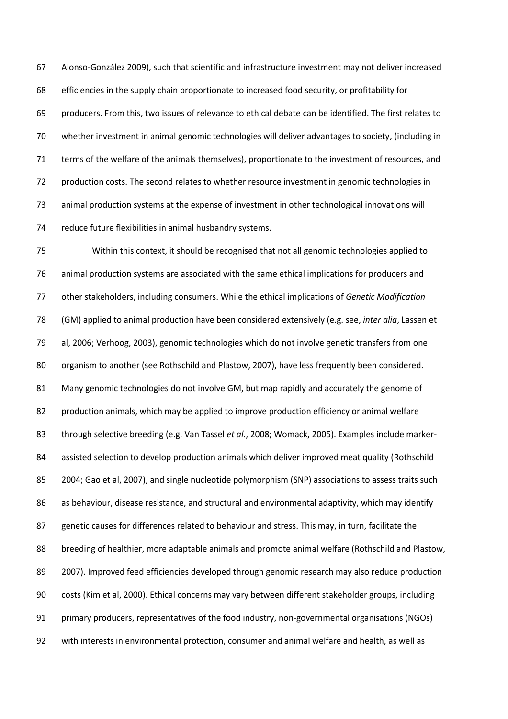Alonso‐González 2009), such that scientific and infrastructure investment may not deliver increased efficiencies in the supply chain proportionate to increased food security, or profitability for producers. From this, two issues of relevance to ethical debate can be identified. The first relates to whether investment in animal genomic technologies will deliver advantages to society, (including in terms of the welfare of the animals themselves), proportionate to the investment of resources, and production costs. The second relates to whether resource investment in genomic technologies in animal production systems at the expense of investment in other technological innovations will reduce future flexibilities in animal husbandry systems.

 Within this context, it should be recognised that not all genomic technologies applied to animal production systems are associated with the same ethical implications for producers and other stakeholders, including consumers. While the ethical implications of *Genetic Modification* (GM) applied to animal production have been considered extensively (e.g. see, *inter alia*, Lassen et al, 2006; Verhoog, 2003), genomic technologies which do not involve genetic transfers from one organism to another (see Rothschild and Plastow, 2007), have less frequently been considered. Many genomic technologies do not involve GM, but map rapidly and accurately the genome of 82 production animals, which may be applied to improve production efficiency or animal welfare through selective breeding (e.g. Van Tassel *et al*., 2008; Womack, 2005). Examples include marker-84 assisted selection to develop production animals which deliver improved meat quality (Rothschild 85 2004; Gao et al, 2007), and single nucleotide polymorphism (SNP) associations to assess traits such as behaviour, disease resistance, and structural and environmental adaptivity, which may identify genetic causes for differences related to behaviour and stress. This may, in turn, facilitate the breeding of healthier, more adaptable animals and promote animal welfare (Rothschild and Plastow, 2007). Improved feed efficiencies developed through genomic research may also reduce production costs (Kim et al, 2000). Ethical concerns may vary between different stakeholder groups, including primary producers, representatives of the food industry, non-governmental organisations (NGOs) with interests in environmental protection, consumer and animal welfare and health, as well as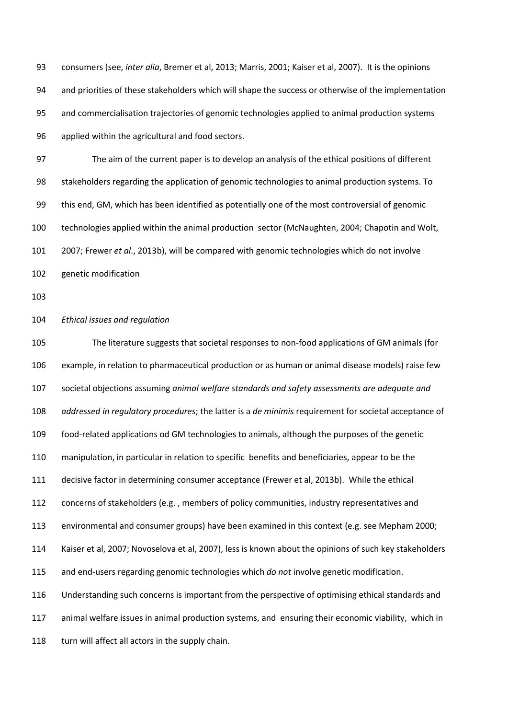consumers (see, *inter alia*, Bremer et al, 2013; Marris, 2001; Kaiser et al, 2007). It is the opinions and priorities of these stakeholders which will shape the success or otherwise of the implementation and commercialisation trajectories of genomic technologies applied to animal production systems applied within the agricultural and food sectors.

 The aim of the current paper is to develop an analysis of the ethical positions of different stakeholders regarding the application of genomic technologies to animal production systems. To this end, GM, which has been identified as potentially one of the most controversial of genomic technologies applied within the animal production sector (McNaughten, 2004; Chapotin and Wolt, 2007; Frewer *et al*., 2013b), will be compared with genomic technologies which do not involve genetic modification

### *Ethical issues and regulation*

 The literature suggests that societal responses to non-food applications of GM animals (for example, in relation to pharmaceutical production or as human or animal disease models) raise few societal objections assuming *animal welfare standards and safety assessments are adequate and addressed in regulatory procedures*; the latter is a *de minimis* requirement for societal acceptance of food-related applications od GM technologies to animals, although the purposes of the genetic manipulation, in particular in relation to specific benefits and beneficiaries, appear to be the decisive factor in determining consumer acceptance (Frewer et al, 2013b). While the ethical concerns of stakeholders (e.g. , members of policy communities, industry representatives and environmental and consumer groups) have been examined in this context (e.g. see Mepham 2000; Kaiser et al, 2007; Novoselova et al, 2007), less is known about the opinions of such key stakeholders and end-users regarding genomic technologies which *do not* involve genetic modification. Understanding such concerns is important from the perspective of optimising ethical standards and animal welfare issues in animal production systems, and ensuring their economic viability, which in 118 turn will affect all actors in the supply chain.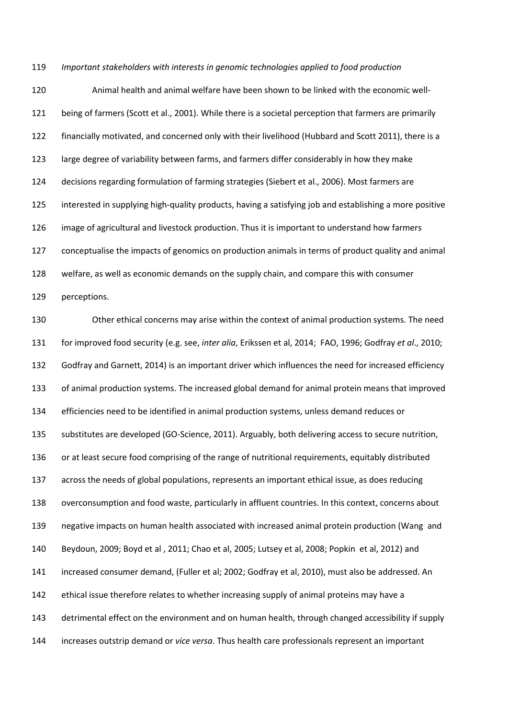*Important stakeholders with interests in genomic technologies applied to food production*

 Animal health and animal welfare have been shown to be linked with the economic well- being of farmers (Scott et al., 2001). While there is a societal perception that farmers are primarily financially motivated, and concerned only with their livelihood (Hubbard and Scott 2011), there is a large degree of variability between farms, and farmers differ considerably in how they make decisions regarding formulation of farming strategies (Siebert et al., 2006). Most farmers are interested in supplying high-quality products, having a satisfying job and establishing a more positive image of agricultural and livestock production. Thus it is important to understand how farmers conceptualise the impacts of genomics on production animals in terms of product quality and animal welfare, as well as economic demands on the supply chain, and compare this with consumer perceptions.

 Other ethical concerns may arise within the context of animal production systems. The need for improved food security (e.g. see, *inter alia*, Erikssen et al, 2014; FAO, 1996; Godfray *et al*., 2010; Godfray and Garnett, 2014) is an important driver which influences the need for increased efficiency of animal production systems. The increased global demand for animal protein means that improved efficiencies need to be identified in animal production systems, unless demand reduces or substitutes are developed (GO-Science, 2011). Arguably, both delivering access to secure nutrition, or at least secure food comprising of the range of nutritional requirements, equitably distributed across the needs of global populations, represents an important ethical issue, as does reducing overconsumption and food waste, particularly in affluent countries. In this context, concerns about negative impacts on human health associated with increased animal protein production (Wang and Beydoun, 2009; Boyd et al , 2011; Chao et al, 2005; Lutsey et al, 2008; Popkin et al, 2012) and increased consumer demand, (Fuller et al; 2002; Godfray et al, 2010), must also be addressed. An 142 ethical issue therefore relates to whether increasing supply of animal proteins may have a detrimental effect on the environment and on human health, through changed accessibility if supply increases outstrip demand or *vice versa*. Thus health care professionals represent an important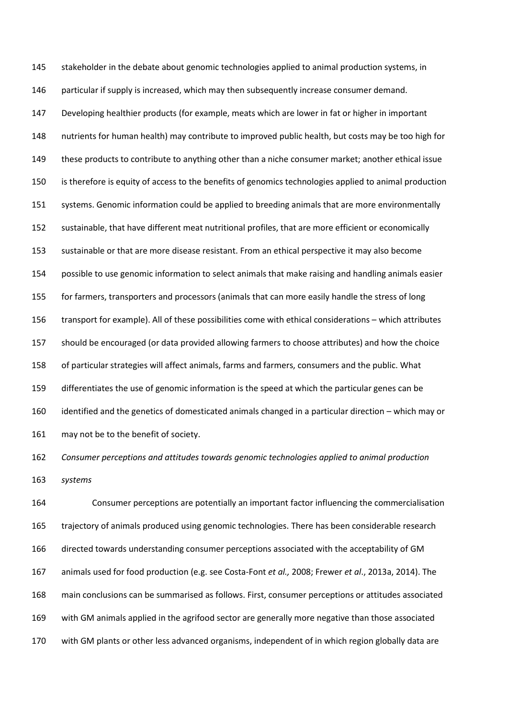145 stakeholder in the debate about genomic technologies applied to animal production systems, in 146 particular if supply is increased, which may then subsequently increase consumer demand. Developing healthier products (for example, meats which are lower in fat or higher in important nutrients for human health) may contribute to improved public health, but costs may be too high for these products to contribute to anything other than a niche consumer market; another ethical issue is therefore is equity of access to the benefits of genomics technologies applied to animal production 151 systems. Genomic information could be applied to breeding animals that are more environmentally sustainable, that have different meat nutritional profiles, that are more efficient or economically sustainable or that are more disease resistant. From an ethical perspective it may also become possible to use genomic information to select animals that make raising and handling animals easier for farmers, transporters and processors (animals that can more easily handle the stress of long transport for example). All of these possibilities come with ethical considerations – which attributes should be encouraged (or data provided allowing farmers to choose attributes) and how the choice of particular strategies will affect animals, farms and farmers, consumers and the public. What differentiates the use of genomic information is the speed at which the particular genes can be identified and the genetics of domesticated animals changed in a particular direction – which may or may not be to the benefit of society.

 *Consumer perceptions and attitudes towards genomic technologies applied to animal production systems* 

 Consumer perceptions are potentially an important factor influencing the commercialisation trajectory of animals produced using genomic technologies. There has been considerable research directed towards understanding consumer perceptions associated with the acceptability of GM animals used for food production (e.g. see Costa-Font *et al.,* 2008; Frewer *et al*., 2013a, 2014). The main conclusions can be summarised as follows. First, consumer perceptions or attitudes associated with GM animals applied in the agrifood sector are generally more negative than those associated with GM plants or other less advanced organisms, independent of in which region globally data are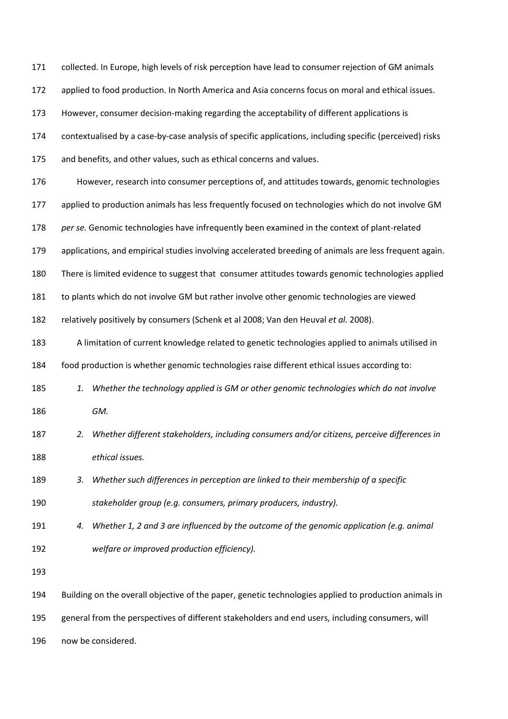collected. In Europe, high levels of risk perception have lead to consumer rejection of GM animals applied to food production. In North America and Asia concerns focus on moral and ethical issues. However, consumer decision-making regarding the acceptability of different applications is contextualised by a case-by-case analysis of specific applications, including specific (perceived) risks and benefits, and other values, such as ethical concerns and values. However, research into consumer perceptions of, and attitudes towards, genomic technologies applied to production animals has less frequently focused on technologies which do not involve GM *per se.* Genomic technologies have infrequently been examined in the context of plant-related applications, and empirical studies involving accelerated breeding of animals are less frequent again. There is limited evidence to suggest that consumer attitudes towards genomic technologies applied to plants which do not involve GM but rather involve other genomic technologies are viewed relatively positively by consumers (Schenk et al 2008; Van den Heuval *et al.* 2008). A limitation of current knowledge related to genetic technologies applied to animals utilised in food production is whether genomic technologies raise different ethical issues according to: *1. Whether the technology applied is GM or other genomic technologies which do not involve GM. 2. Whether different stakeholders, including consumers and/or citizens, perceive differences in ethical issues. 3. Whether such differences in perception are linked to their membership of a specific stakeholder group (e.g. consumers, primary producers, industry). 4. Whether 1, 2 and 3 are influenced by the outcome of the genomic application (e.g. animal welfare or improved production efficiency).*  Building on the overall objective of the paper, genetic technologies applied to production animals in general from the perspectives of different stakeholders and end users, including consumers, will

now be considered.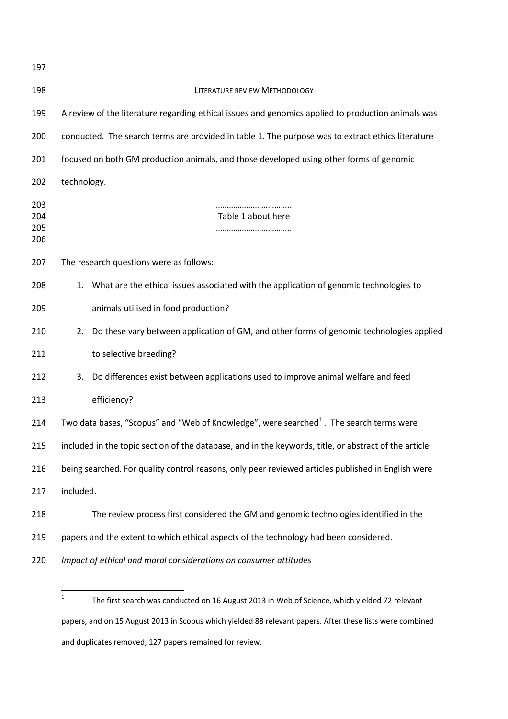| 197                      |                                                                                                       |
|--------------------------|-------------------------------------------------------------------------------------------------------|
| 198                      | LITERATURE REVIEW METHODOLOGY                                                                         |
| 199                      | A review of the literature regarding ethical issues and genomics applied to production animals was    |
| 200                      | conducted. The search terms are provided in table 1. The purpose was to extract ethics literature     |
| 201                      | focused on both GM production animals, and those developed using other forms of genomic               |
| 202                      | technology.                                                                                           |
| 203<br>204<br>205<br>206 | Table 1 about here                                                                                    |
| 207                      | The research questions were as follows:                                                               |
| 208                      | 1. What are the ethical issues associated with the application of genomic technologies to             |
| 209                      | animals utilised in food production?                                                                  |
| 210                      | Do these vary between application of GM, and other forms of genomic technologies applied<br>2.        |
| 211                      | to selective breeding?                                                                                |
| 212                      | Do differences exist between applications used to improve animal welfare and feed<br>3.               |
| 213                      | efficiency?                                                                                           |
| 214                      | Two data bases, "Scopus" and "Web of Knowledge", were searched <sup>1</sup> . The search terms were   |
| 215                      | included in the topic section of the database, and in the keywords, title, or abstract of the article |
| 216                      | being searched. For quality control reasons, only peer reviewed articles published in English were    |
| 217                      | included.                                                                                             |
| 218                      | The review process first considered the GM and genomic technologies identified in the                 |
| 219                      | papers and the extent to which ethical aspects of the technology had been considered.                 |
| 220                      | Impact of ethical and moral considerations on consumer attitudes                                      |

 $\frac{1}{1}$ The first search was conducted on 16 August 2013 in Web of Science, which yielded 72 relevant papers, and on 15 August 2013 in Scopus which yielded 88 relevant papers. After these lists were combined and duplicates removed, 127 papers remained for review.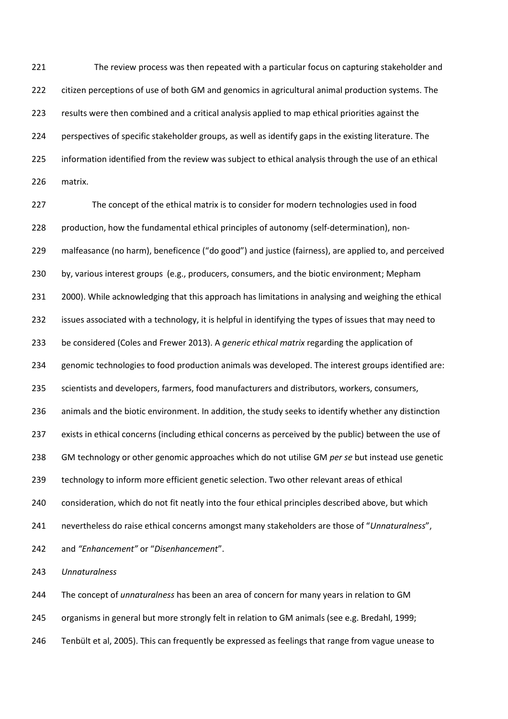The review process was then repeated with a particular focus on capturing stakeholder and citizen perceptions of use of both GM and genomics in agricultural animal production systems. The results were then combined and a critical analysis applied to map ethical priorities against the perspectives of specific stakeholder groups, as well as identify gaps in the existing literature. The information identified from the review was subject to ethical analysis through the use of an ethical matrix.

 The concept of the ethical matrix is to consider for modern technologies used in food production, how the fundamental ethical principles of autonomy (self-determination), non- malfeasance (no harm), beneficence ("do good") and justice (fairness), are applied to, and perceived by, various interest groups (e.g., producers, consumers, and the biotic environment; Mepham 2000). While acknowledging that this approach has limitations in analysing and weighing the ethical issues associated with a technology, it is helpful in identifying the types of issues that may need to be considered (Coles and Frewer 2013). A *generic ethical matrix* regarding the application of genomic technologies to food production animals was developed. The interest groups identified are: scientists and developers, farmers, food manufacturers and distributors, workers, consumers, animals and the biotic environment. In addition, the study seeks to identify whether any distinction exists in ethical concerns (including ethical concerns as perceived by the public) between the use of GM technology or other genomic approaches which do not utilise GM *per se* but instead use genetic technology to inform more efficient genetic selection. Two other relevant areas of ethical consideration, which do not fit neatly into the four ethical principles described above, but which nevertheless do raise ethical concerns amongst many stakeholders are those of "*Unnaturalness*", and *"Enhancement"* or "*Disenhancement*". *Unnaturalness* The concept of *unnaturalness* has been an area of concern for many years in relation to GM

organisms in general but more strongly felt in relation to GM animals (see e.g. Bredahl, 1999;

Tenbült et al, 2005). This can frequently be expressed as feelings that range from vague unease to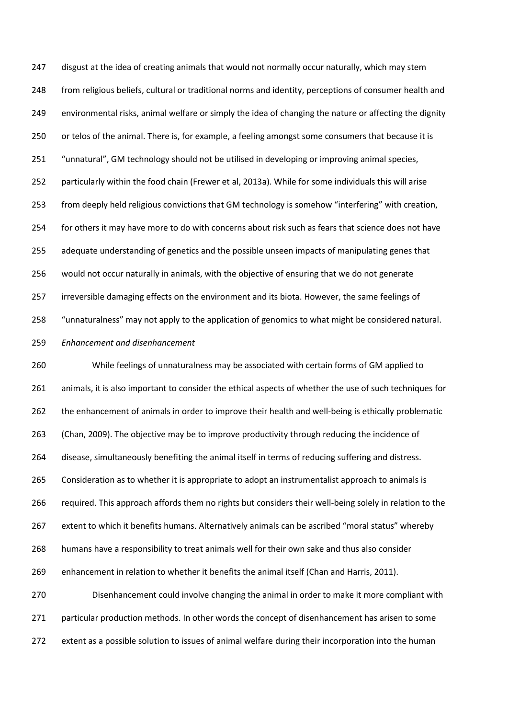247 disgust at the idea of creating animals that would not normally occur naturally, which may stem from religious beliefs, cultural or traditional norms and identity, perceptions of consumer health and environmental risks, animal welfare or simply the idea of changing the nature or affecting the dignity or telos of the animal. There is, for example, a feeling amongst some consumers that because it is "unnatural", GM technology should not be utilised in developing or improving animal species, particularly within the food chain (Frewer et al, 2013a). While for some individuals this will arise from deeply held religious convictions that GM technology is somehow "interfering" with creation, 254 for others it may have more to do with concerns about risk such as fears that science does not have adequate understanding of genetics and the possible unseen impacts of manipulating genes that would not occur naturally in animals, with the objective of ensuring that we do not generate irreversible damaging effects on the environment and its biota. However, the same feelings of "unnaturalness" may not apply to the application of genomics to what might be considered natural. *Enhancement and disenhancement* 

 While feelings of unnaturalness may be associated with certain forms of GM applied to animals, it is also important to consider the ethical aspects of whether the use of such techniques for the enhancement of animals in order to improve their health and well-being is ethically problematic (Chan, 2009). The objective may be to improve productivity through reducing the incidence of disease, simultaneously benefiting the animal itself in terms of reducing suffering and distress. Consideration as to whether it is appropriate to adopt an instrumentalist approach to animals is required. This approach affords them no rights but considers their well-being solely in relation to the extent to which it benefits humans. Alternatively animals can be ascribed "moral status" whereby humans have a responsibility to treat animals well for their own sake and thus also consider enhancement in relation to whether it benefits the animal itself (Chan and Harris, 2011). Disenhancement could involve changing the animal in order to make it more compliant with particular production methods. In other words the concept of disenhancement has arisen to some

extent as a possible solution to issues of animal welfare during their incorporation into the human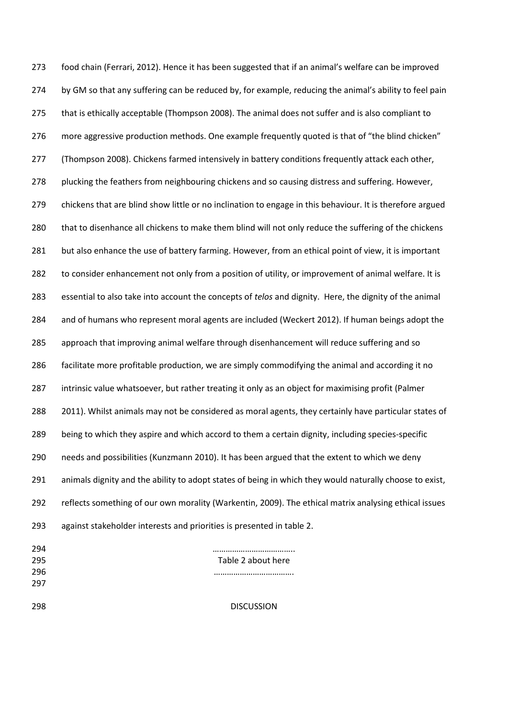food chain (Ferrari, 2012). Hence it has been suggested that if an animal's welfare can be improved 274 by GM so that any suffering can be reduced by, for example, reducing the animal's ability to feel pain that is ethically acceptable (Thompson 2008). The animal does not suffer and is also compliant to 276 more aggressive production methods. One example frequently quoted is that of "the blind chicken" (Thompson 2008). Chickens farmed intensively in battery conditions frequently attack each other, 278 plucking the feathers from neighbouring chickens and so causing distress and suffering. However, chickens that are blind show little or no inclination to engage in this behaviour. It is therefore argued 280 that to disenhance all chickens to make them blind will not only reduce the suffering of the chickens 281 but also enhance the use of battery farming. However, from an ethical point of view, it is important to consider enhancement not only from a position of utility, or improvement of animal welfare. It is essential to also take into account the concepts of *telos* and dignity. Here, the dignity of the animal and of humans who represent moral agents are included (Weckert 2012). If human beings adopt the approach that improving animal welfare through disenhancement will reduce suffering and so facilitate more profitable production, we are simply commodifying the animal and according it no intrinsic value whatsoever, but rather treating it only as an object for maximising profit (Palmer 2011). Whilst animals may not be considered as moral agents, they certainly have particular states of being to which they aspire and which accord to them a certain dignity, including species-specific needs and possibilities (Kunzmann 2010). It has been argued that the extent to which we deny animals dignity and the ability to adopt states of being in which they would naturally choose to exist, reflects something of our own morality (Warkentin, 2009). The ethical matrix analysing ethical issues against stakeholder interests and priorities is presented in table 2.

- ……………………………….. Table 2 about here ……………………………….
- 

DISCUSSION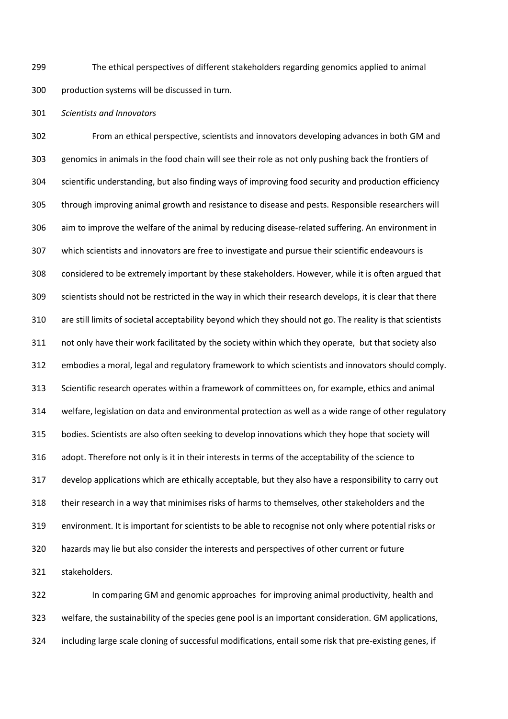The ethical perspectives of different stakeholders regarding genomics applied to animal production systems will be discussed in turn.

*Scientists and Innovators*

 From an ethical perspective, scientists and innovators developing advances in both GM and genomics in animals in the food chain will see their role as not only pushing back the frontiers of scientific understanding, but also finding ways of improving food security and production efficiency through improving animal growth and resistance to disease and pests. Responsible researchers will aim to improve the welfare of the animal by reducing disease-related suffering. An environment in which scientists and innovators are free to investigate and pursue their scientific endeavours is considered to be extremely important by these stakeholders. However, while it is often argued that scientists should not be restricted in the way in which their research develops, it is clear that there are still limits of societal acceptability beyond which they should not go. The reality is that scientists not only have their work facilitated by the society within which they operate, but that society also embodies a moral, legal and regulatory framework to which scientists and innovators should comply. Scientific research operates within a framework of committees on, for example, ethics and animal welfare, legislation on data and environmental protection as well as a wide range of other regulatory bodies. Scientists are also often seeking to develop innovations which they hope that society will adopt. Therefore not only is it in their interests in terms of the acceptability of the science to develop applications which are ethically acceptable, but they also have a responsibility to carry out their research in a way that minimises risks of harms to themselves, other stakeholders and the environment. It is important for scientists to be able to recognise not only where potential risks or hazards may lie but also consider the interests and perspectives of other current or future stakeholders.

 In comparing GM and genomic approaches for improving animal productivity, health and welfare, the sustainability of the species gene pool is an important consideration. GM applications, including large scale cloning of successful modifications, entail some risk that pre-existing genes, if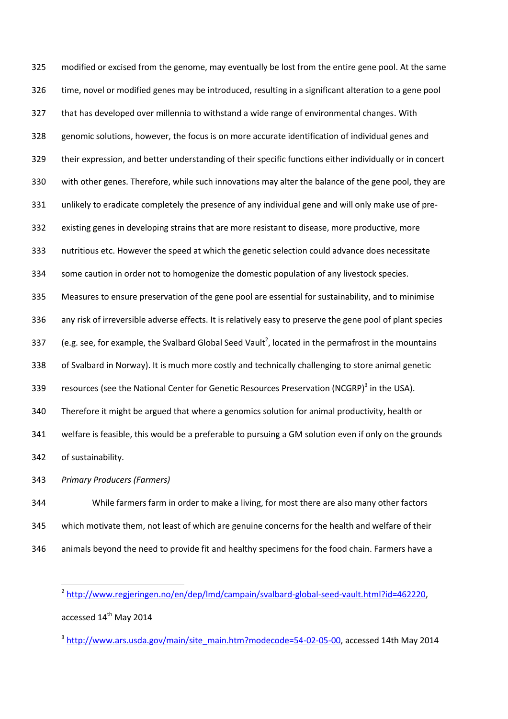modified or excised from the genome, may eventually be lost from the entire gene pool. At the same time, novel or modified genes may be introduced, resulting in a significant alteration to a gene pool that has developed over millennia to withstand a wide range of environmental changes. With genomic solutions, however, the focus is on more accurate identification of individual genes and their expression, and better understanding of their specific functions either individually or in concert with other genes. Therefore, while such innovations may alter the balance of the gene pool, they are unlikely to eradicate completely the presen*c*e of any individual gene and will only make use of pre- existing genes in developing strains that are more resistant to disease, more productive, more nutritious etc. However the speed at which the genetic selection could advance does necessitate some caution in order not to homogenize the domestic population of any livestock species. Measures to ensure preservation of the gene pool are essential for sustainability, and to minimise any risk of irreversible adverse effects. It is relatively easy to preserve the gene pool of plant species 337 (e.g. see, for example, the Svalbard Global Seed Vault<sup>2</sup>, located in the permafrost in the mountains of Svalbard in Norway). It is much more costly and technically challenging to store animal genetic 339 resources (see the National Center for Genetic Resources Preservation (NCGRP)<sup>3</sup> in the USA). Therefore it might be argued that where a genomics solution for animal productivity, health or welfare is feasible, this would be a preferable to pursuing a GM solution even if only on the grounds of sustainability.

*Primary Producers (Farmers)*

 While farmers farm in order to make a living, for most there are also many other factors which motivate them, not least of which are genuine concerns for the health and welfare of their animals beyond the need to provide fit and healthy specimens for the food chain. Farmers have a

<sup>3</sup> [http://www.ars.usda.gov/main/site\\_main.htm?modecode=54-02-05-00,](http://www.ars.usda.gov/main/site_main.htm?modecode=54-02-05-00) accessed 14th May 2014

**<sup>.</sup>** <sup>2</sup> [http://www.regjeringen.no/en/dep/lmd/campain/svalbard-global-seed-vault.html?id=462220,](http://www.regjeringen.no/en/dep/lmd/campain/svalbard-global-seed-vault.html?id=462220) accessed 14<sup>th</sup> May 2014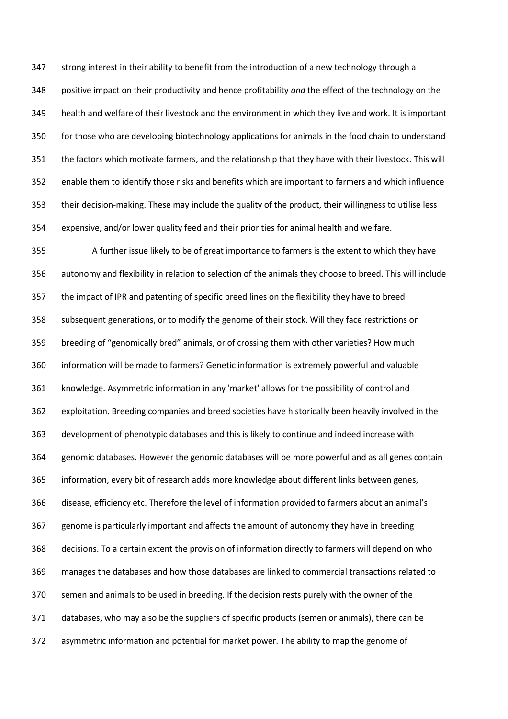strong interest in their ability to benefit from the introduction of a new technology through a positive impact on their productivity and hence profitability *and* the effect of the technology on the health and welfare of their livestock and the environment in which they live and work. It is important for those who are developing biotechnology applications for animals in the food chain to understand the factors which motivate farmers, and the relationship that they have with their livestock. This will enable them to identify those risks and benefits which are important to farmers and which influence their decision-making. These may include the quality of the product, their willingness to utilise less expensive, and/or lower quality feed and their priorities for animal health and welfare.

 A further issue likely to be of great importance to farmers is the extent to which they have autonomy and flexibility in relation to selection of the animals they choose to breed. This will include the impact of IPR and patenting of specific breed lines on the flexibility they have to breed subsequent generations, or to modify the genome of their stock. Will they face restrictions on breeding of "genomically bred" animals, or of crossing them with other varieties? How much information will be made to farmers? Genetic information is extremely powerful and valuable knowledge. Asymmetric information in any 'market' allows for the possibility of control and exploitation. Breeding companies and breed societies have historically been heavily involved in the development of phenotypic databases and this is likely to continue and indeed increase with genomic databases. However the genomic databases will be more powerful and as all genes contain information, every bit of research adds more knowledge about different links between genes, disease, efficiency etc. Therefore the level of information provided to farmers about an animal's genome is particularly important and affects the amount of autonomy they have in breeding decisions. To a certain extent the provision of information directly to farmers will depend on who manages the databases and how those databases are linked to commercial transactions related to semen and animals to be used in breeding. If the decision rests purely with the owner of the databases, who may also be the suppliers of specific products (semen or animals), there can be asymmetric information and potential for market power. The ability to map the genome of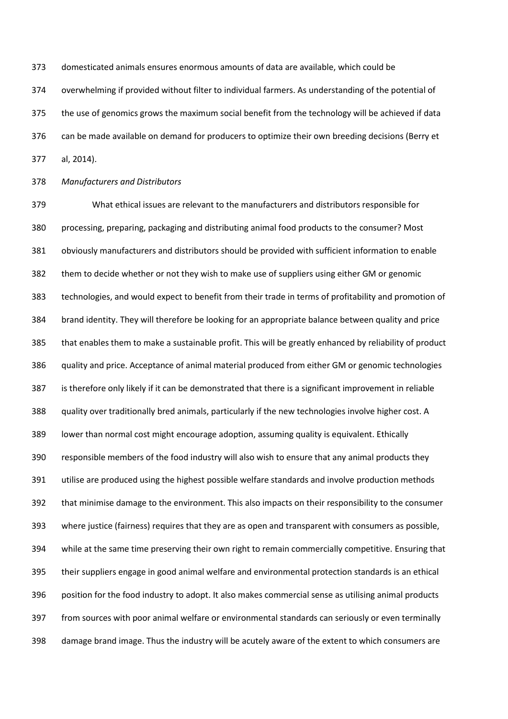domesticated animals ensures enormous amounts of data are available, which could be overwhelming if provided without filter to individual farmers. As understanding of the potential of the use of genomics grows the maximum social benefit from the technology will be achieved if data can be made available on demand for producers to optimize their own breeding decisions (Berry et al, 2014).

#### *Manufacturers and Distributors*

 What ethical issues are relevant to the manufacturers and distributors responsible for processing, preparing, packaging and distributing animal food products to the consumer? Most obviously manufacturers and distributors should be provided with sufficient information to enable them to decide whether or not they wish to make use of suppliers using either GM or genomic technologies, and would expect to benefit from their trade in terms of profitability and promotion of brand identity. They will therefore be looking for an appropriate balance between quality and price that enables them to make a sustainable profit. This will be greatly enhanced by reliability of product quality and price. Acceptance of animal material produced from either GM or genomic technologies is therefore only likely if it can be demonstrated that there is a significant improvement in reliable quality over traditionally bred animals, particularly if the new technologies involve higher cost. A lower than normal cost might encourage adoption, assuming quality is equivalent. Ethically responsible members of the food industry will also wish to ensure that any animal products they utilise are produced using the highest possible welfare standards and involve production methods that minimise damage to the environment. This also impacts on their responsibility to the consumer where justice (fairness) requires that they are as open and transparent with consumers as possible, while at the same time preserving their own right to remain commercially competitive. Ensuring that their suppliers engage in good animal welfare and environmental protection standards is an ethical position for the food industry to adopt. It also makes commercial sense as utilising animal products from sources with poor animal welfare or environmental standards can seriously or even terminally damage brand image. Thus the industry will be acutely aware of the extent to which consumers are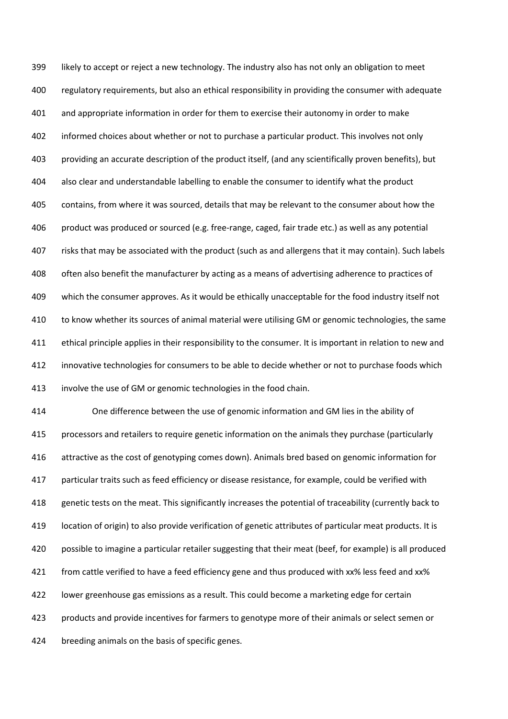likely to accept or reject a new technology. The industry also has not only an obligation to meet regulatory requirements, but also an ethical responsibility in providing the consumer with adequate and appropriate information in order for them to exercise their autonomy in order to make 402 informed choices about whether or not to purchase a particular product. This involves not only providing an accurate description of the product itself, (and any scientifically proven benefits), but also clear and understandable labelling to enable the consumer to identify what the product contains, from where it was sourced, details that may be relevant to the consumer about how the product was produced or sourced (e.g. free-range, caged, fair trade etc.) as well as any potential risks that may be associated with the product (such as and allergens that it may contain). Such labels often also benefit the manufacturer by acting as a means of advertising adherence to practices of which the consumer approves. As it would be ethically unacceptable for the food industry itself not to know whether its sources of animal material were utilising GM or genomic technologies, the same ethical principle applies in their responsibility to the consumer. It is important in relation to new and innovative technologies for consumers to be able to decide whether or not to purchase foods which involve the use of GM or genomic technologies in the food chain.

 One difference between the use of genomic information and GM lies in the ability of processors and retailers to require genetic information on the animals they purchase (particularly attractive as the cost of genotyping comes down). Animals bred based on genomic information for particular traits such as feed efficiency or disease resistance, for example, could be verified with genetic tests on the meat. This significantly increases the potential of traceability (currently back to location of origin) to also provide verification of genetic attributes of particular meat products. It is possible to imagine a particular retailer suggesting that their meat (beef, for example) is all produced from cattle verified to have a feed efficiency gene and thus produced with xx% less feed and xx% lower greenhouse gas emissions as a result. This could become a marketing edge for certain products and provide incentives for farmers to genotype more of their animals or select semen or breeding animals on the basis of specific genes.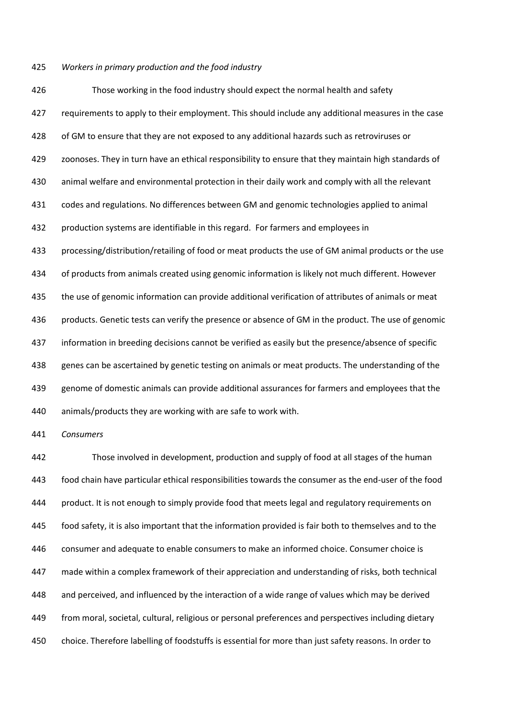#### *Workers in primary production and the food industry*

 Those working in the food industry should expect the normal health and safety requirements to apply to their employment. This should include any additional measures in the case of GM to ensure that they are not exposed to any additional hazards such as retroviruses or zoonoses. They in turn have an ethical responsibility to ensure that they maintain high standards of animal welfare and environmental protection in their daily work and comply with all the relevant codes and regulations. No differences between GM and genomic technologies applied to animal production systems are identifiable in this regard. For farmers and employees in processing/distribution/retailing of food or meat products the use of GM animal products or the use of products from animals created using genomic information is likely not much different. However the use of genomic information can provide additional verification of attributes of animals or meat products. Genetic tests can verify the presence or absence of GM in the product. The use of genomic information in breeding decisions cannot be verified as easily but the presence/absence of specific genes can be ascertained by genetic testing on animals or meat products. The understanding of the genome of domestic animals can provide additional assurances for farmers and employees that the animals/products they are working with are safe to work with.

*Consumers*

 Those involved in development, production and supply of food at all stages of the human food chain have particular ethical responsibilities towards the consumer as the end-user of the food product. It is not enough to simply provide food that meets legal and regulatory requirements on food safety, it is also important that the information provided is fair both to themselves and to the consumer and adequate to enable consumers to make an informed choice. Consumer choice is made within a complex framework of their appreciation and understanding of risks, both technical and perceived, and influenced by the interaction of a wide range of values which may be derived from moral, societal, cultural, religious or personal preferences and perspectives including dietary choice. Therefore labelling of foodstuffs is essential for more than just safety reasons. In order to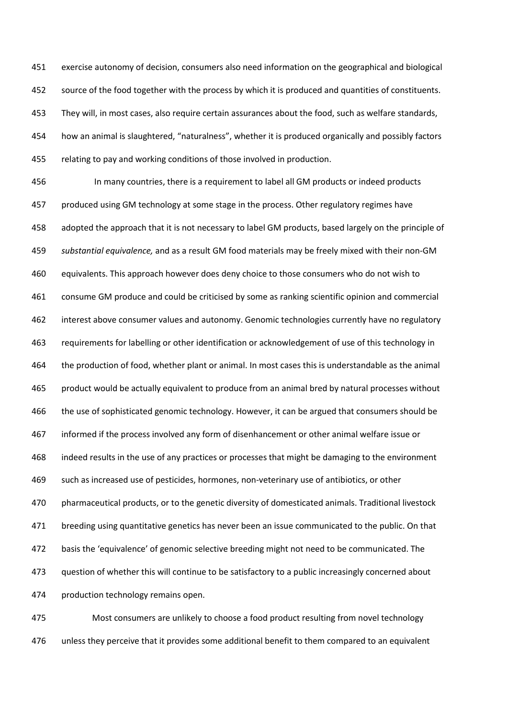exercise autonomy of decision, consumers also need information on the geographical and biological source of the food together with the process by which it is produced and quantities of constituents. They will, in most cases, also require certain assurances about the food, such as welfare standards, how an animal is slaughtered, "naturalness", whether it is produced organically and possibly factors relating to pay and working conditions of those involved in production.

 In many countries, there is a requirement to label all GM products or indeed products produced using GM technology at some stage in the process. Other regulatory regimes have 458 adopted the approach that it is not necessary to label GM products, based largely on the principle of *substantial equivalence,* and as a result GM food materials may be freely mixed with their non-GM equivalents. This approach however does deny choice to those consumers who do not wish to consume GM produce and could be criticised by some as ranking scientific opinion and commercial interest above consumer values and autonomy. Genomic technologies currently have no regulatory requirements for labelling or other identification or acknowledgement of use of this technology in the production of food, whether plant or animal. In most cases this is understandable as the animal product would be actually equivalent to produce from an animal bred by natural processes without the use of sophisticated genomic technology. However, it can be argued that consumers should be informed if the process involved any form of disenhancement or other animal welfare issue or indeed results in the use of any practices or processes that might be damaging to the environment such as increased use of pesticides, hormones, non-veterinary use of antibiotics, or other pharmaceutical products, or to the genetic diversity of domesticated animals. Traditional livestock breeding using quantitative genetics has never been an issue communicated to the public. On that basis the 'equivalence' of genomic selective breeding might not need to be communicated. The question of whether this will continue to be satisfactory to a public increasingly concerned about production technology remains open.

 Most consumers are unlikely to choose a food product resulting from novel technology unless they perceive that it provides some additional benefit to them compared to an equivalent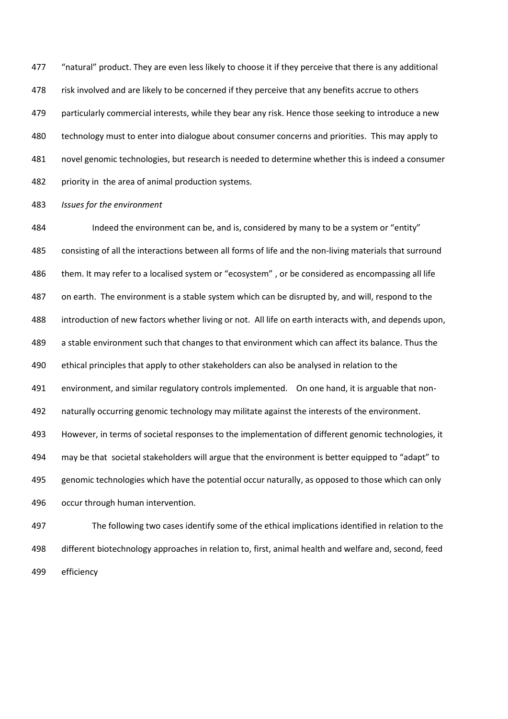"natural" product. They are even less likely to choose it if they perceive that there is any additional risk involved and are likely to be concerned if they perceive that any benefits accrue to others particularly commercial interests, while they bear any risk. Hence those seeking to introduce a new 480 technology must to enter into dialogue about consumer concerns and priorities. This may apply to novel genomic technologies, but research is needed to determine whether this is indeed a consumer priority in the area of animal production systems.

*Issues for the environment*

 Indeed the environment can be, and is, considered by many to be a system or "entity" consisting of all the interactions between all forms of life and the non-living materials that surround them. It may refer to a localised system or "ecosystem" , or be considered as encompassing all life on earth. The environment is a stable system which can be disrupted by, and will, respond to the introduction of new factors whether living or not. All life on earth interacts with, and depends upon, a stable environment such that changes to that environment which can affect its balance. Thus the ethical principles that apply to other stakeholders can also be analysed in relation to the environment, and similar regulatory controls implemented. On one hand, it is arguable that non- naturally occurring genomic technology may militate against the interests of the environment. However, in terms of societal responses to the implementation of different genomic technologies, it may be that societal stakeholders will argue that the environment is better equipped to "adapt" to 495 genomic technologies which have the potential occur naturally, as opposed to those which can only occur through human intervention. The following two cases identify some of the ethical implications identified in relation to the

 different biotechnology approaches in relation to, first, animal health and welfare and, second, feed efficiency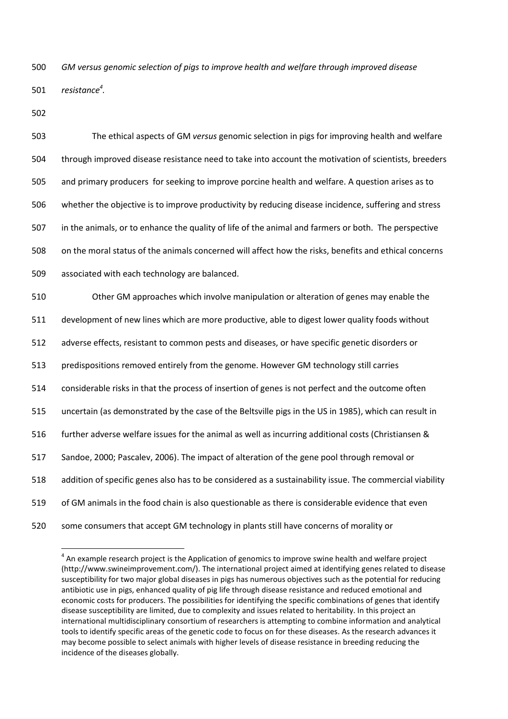*GM versus genomic selection of pigs to improve health and welfare through improved disease resistance<sup>4</sup> .*

**.** 

 The ethical aspects of GM *versus* genomic selection in pigs for improving health and welfare through improved disease resistance need to take into account the motivation of scientists, breeders and primary producers for seeking to improve porcine health and welfare. A question arises as to whether the objective is to improve productivity by reducing disease incidence, suffering and stress in the animals, or to enhance the quality of life of the animal and farmers or both. The perspective on the moral status of the animals concerned will affect how the risks, benefits and ethical concerns associated with each technology are balanced.

 Other GM approaches which involve manipulation or alteration of genes may enable the development of new lines which are more productive, able to digest lower quality foods without adverse effects, resistant to common pests and diseases, or have specific genetic disorders or predispositions removed entirely from the genome. However GM technology still carries considerable risks in that the process of insertion of genes is not perfect and the outcome often uncertain (as demonstrated by the case of the Beltsville pigs in the US in 1985), which can result in further adverse welfare issues for the animal as well as incurring additional costs (Christiansen & Sandoe, 2000; Pascalev, 2006). The impact of alteration of the gene pool through removal or addition of specific genes also has to be considered as a sustainability issue. The commercial viability of GM animals in the food chain is also questionable as there is considerable evidence that even some consumers that accept GM technology in plants still have concerns of morality or

 $<sup>4</sup>$  An example research project is the Application of genomics to improve swine health and welfare project</sup> (http://www.swineimprovement.com/). The international project aimed at identifying genes related to disease susceptibility for two major global diseases in pigs has numerous objectives such as the potential for reducing antibiotic use in pigs, enhanced quality of pig life through disease resistance and reduced emotional and economic costs for producers. The possibilities for identifying the specific combinations of genes that identify disease susceptibility are limited, due to complexity and issues related to heritability. In this project an international multidisciplinary consortium of researchers is attempting to combine information and analytical tools to identify specific areas of the genetic code to focus on for these diseases. As the research advances it may become possible to select animals with higher levels of disease resistance in breeding reducing the incidence of the diseases globally.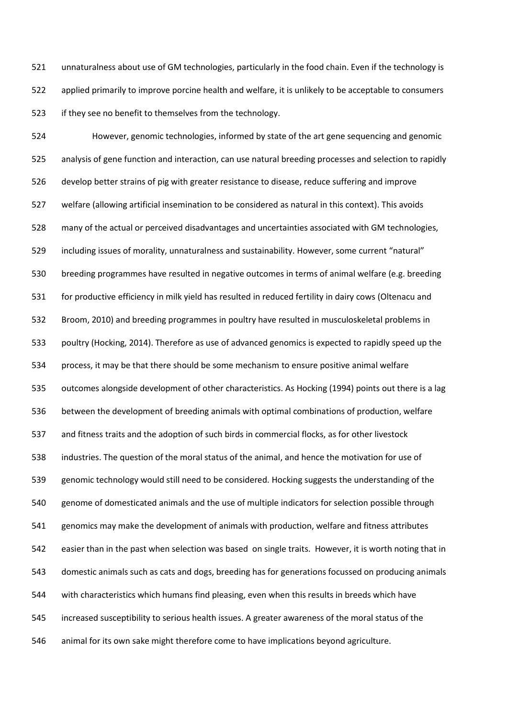unnaturalness about use of GM technologies, particularly in the food chain. Even if the technology is applied primarily to improve porcine health and welfare, it is unlikely to be acceptable to consumers if they see no benefit to themselves from the technology.

 However, genomic technologies, informed by state of the art gene sequencing and genomic analysis of gene function and interaction, can use natural breeding processes and selection to rapidly develop better strains of pig with greater resistance to disease, reduce suffering and improve welfare (allowing artificial insemination to be considered as natural in this context). This avoids many of the actual or perceived disadvantages and uncertainties associated with GM technologies, including issues of morality, unnaturalness and sustainability. However, some current "natural" breeding programmes have resulted in negative outcomes in terms of animal welfare (e.g. breeding for productive efficiency in milk yield has resulted in reduced fertility in dairy cows (Oltenacu and Broom, 2010) and breeding programmes in poultry have resulted in musculoskeletal problems in poultry (Hocking, 2014). Therefore as use of advanced genomics is expected to rapidly speed up the process, it may be that there should be some mechanism to ensure positive animal welfare outcomes alongside development of other characteristics. As Hocking (1994) points out there is a lag between the development of breeding animals with optimal combinations of production, welfare and fitness traits and the adoption of such birds in commercial flocks, as for other livestock industries. The question of the moral status of the animal, and hence the motivation for use of genomic technology would still need to be considered. Hocking suggests the understanding of the genome of domesticated animals and the use of multiple indicators for selection possible through genomics may make the development of animals with production, welfare and fitness attributes easier than in the past when selection was based on single traits. However, it is worth noting that in domestic animals such as cats and dogs, breeding has for generations focussed on producing animals with characteristics which humans find pleasing, even when this results in breeds which have increased susceptibility to serious health issues. A greater awareness of the moral status of the animal for its own sake might therefore come to have implications beyond agriculture.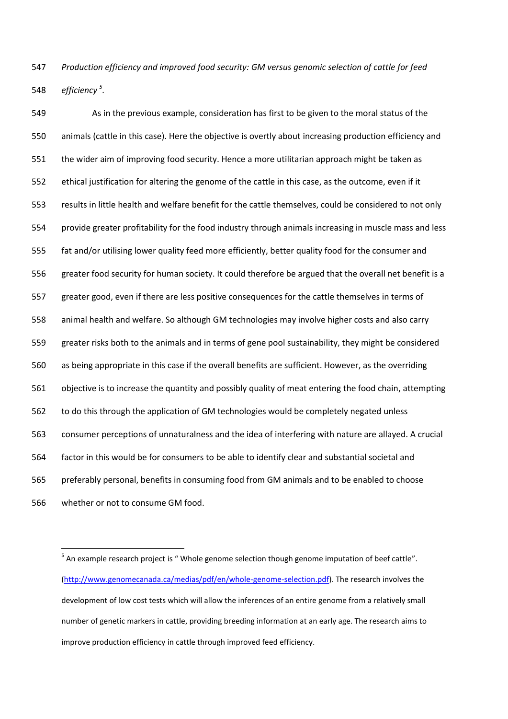*Production efficiency and improved food security: GM versus genomic selection of cattle for feed efficiency <sup>5</sup> .* 

 As in the previous example, consideration has first to be given to the moral status of the animals (cattle in this case). Here the objective is overtly about increasing production efficiency and the wider aim of improving food security. Hence a more utilitarian approach might be taken as ethical justification for altering the genome of the cattle in this case, as the outcome, even if it results in little health and welfare benefit for the cattle themselves, could be considered to not only provide greater profitability for the food industry through animals increasing in muscle mass and less fat and/or utilising lower quality feed more efficiently, better quality food for the consumer and greater food security for human society. It could therefore be argued that the overall net benefit is a greater good, even if there are less positive consequences for the cattle themselves in terms of animal health and welfare. So although GM technologies may involve higher costs and also carry greater risks both to the animals and in terms of gene pool sustainability, they might be considered as being appropriate in this case if the overall benefits are sufficient. However, as the overriding objective is to increase the quantity and possibly quality of meat entering the food chain, attempting to do this through the application of GM technologies would be completely negated unless consumer perceptions of unnaturalness and the idea of interfering with nature are allayed. A crucial factor in this would be for consumers to be able to identify clear and substantial societal and preferably personal, benefits in consuming food from GM animals and to be enabled to choose whether or not to consume GM food.

 5 An example research project is " Whole genome selection though genome imputation of beef cattle". [\(http://www.genomecanada.ca/medias/pdf/en/whole-genome-selection.pdf\)](http://www.genomecanada.ca/medias/pdf/en/whole-genome-selection.pdf). The research involves the development of low cost tests which will allow the inferences of an entire genome from a relatively small number of genetic markers in cattle, providing breeding information at an early age. The research aims to improve production efficiency in cattle through improved feed efficiency.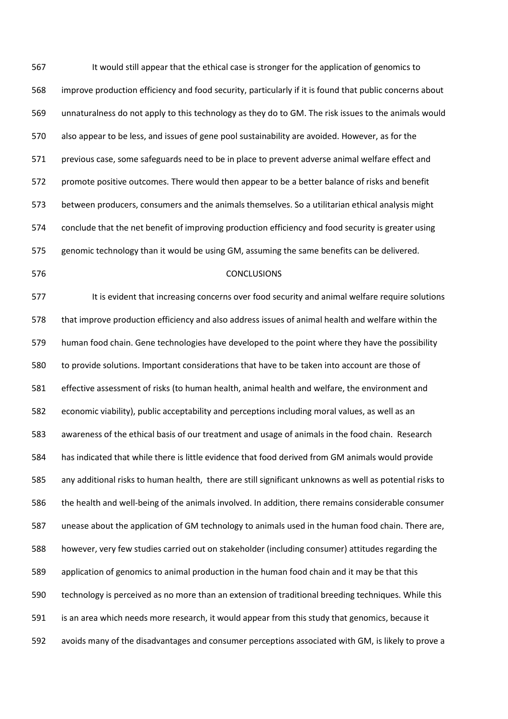567 It would still appear that the ethical case is stronger for the application of genomics to improve production efficiency and food security, particularly if it is found that public concerns about unnaturalness do not apply to this technology as they do to GM. The risk issues to the animals would also appear to be less, and issues of gene pool sustainability are avoided. However, as for the previous case, some safeguards need to be in place to prevent adverse animal welfare effect and promote positive outcomes. There would then appear to be a better balance of risks and benefit between producers, consumers and the animals themselves. So a utilitarian ethical analysis might conclude that the net benefit of improving production efficiency and food security is greater using genomic technology than it would be using GM, assuming the same benefits can be delivered.

#### CONCLUSIONS

577 It is evident that increasing concerns over food security and animal welfare require solutions that improve production efficiency and also address issues of animal health and welfare within the human food chain. Gene technologies have developed to the point where they have the possibility to provide solutions. Important considerations that have to be taken into account are those of effective assessment of risks (to human health, animal health and welfare, the environment and economic viability), public acceptability and perceptions including moral values, as well as an awareness of the ethical basis of our treatment and usage of animals in the food chain. Research has indicated that while there is little evidence that food derived from GM animals would provide any additional risks to human health, there are still significant unknowns as well as potential risks to the health and well-being of the animals involved. In addition, there remains considerable consumer unease about the application of GM technology to animals used in the human food chain. There are, however, very few studies carried out on stakeholder (including consumer) attitudes regarding the application of genomics to animal production in the human food chain and it may be that this technology is perceived as no more than an extension of traditional breeding techniques. While this is an area which needs more research, it would appear from this study that genomics, because it avoids many of the disadvantages and consumer perceptions associated with GM, is likely to prove a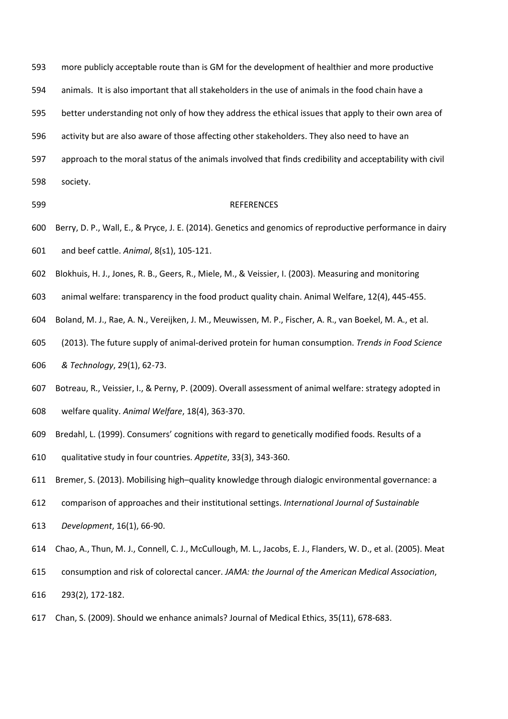more publicly acceptable route than is GM for the development of healthier and more productive animals. It is also important that all stakeholders in the use of animals in the food chain have a better understanding not only of how they address the ethical issues that apply to their own area of activity but are also aware of those affecting other stakeholders. They also need to have an approach to the moral status of the animals involved that finds credibility and acceptability with civil society.

## REFERENCES

- Berry, D. P., Wall, E., & Pryce, J. E. (2014). Genetics and genomics of reproductive performance in dairy and beef cattle. *Animal*, 8(s1), 105-121.
- Blokhuis, H. J., Jones, R. B., Geers, R., Miele, M., & Veissier, I. (2003). Measuring and monitoring
- animal welfare: transparency in the food product quality chain. Animal Welfare, 12(4), 445-455.
- Boland, M. J., Rae, A. N., Vereijken, J. M., Meuwissen, M. P., Fischer, A. R., van Boekel, M. A., et al.
- (2013). The future supply of animal-derived protein for human consumption. *Trends in Food Science & Technology*, 29(1), 62-73.
- Botreau, R., Veissier, I., & Perny, P. (2009). Overall assessment of animal welfare: strategy adopted in welfare quality. *Animal Welfare*, 18(4), 363-370.
- Bredahl, L. (1999). Consumers' cognitions with regard to genetically modified foods. Results of a
- qualitative study in four countries. *Appetite*, 33(3), 343-360.
- Bremer, S. (2013). Mobilising high–quality knowledge through dialogic environmental governance: a
- comparison of approaches and their institutional settings. *International Journal of Sustainable*
- *Development*, 16(1), 66-90.
- Chao, A., Thun, M. J., Connell, C. J., McCullough, M. L., Jacobs, E. J., Flanders, W. D., et al. (2005). Meat
- consumption and risk of colorectal cancer. *JAMA: the Journal of the American Medical Association*,
- 293(2), 172-182.
- Chan, S. (2009). Should we enhance animals? Journal of Medical Ethics, 35(11), 678-683.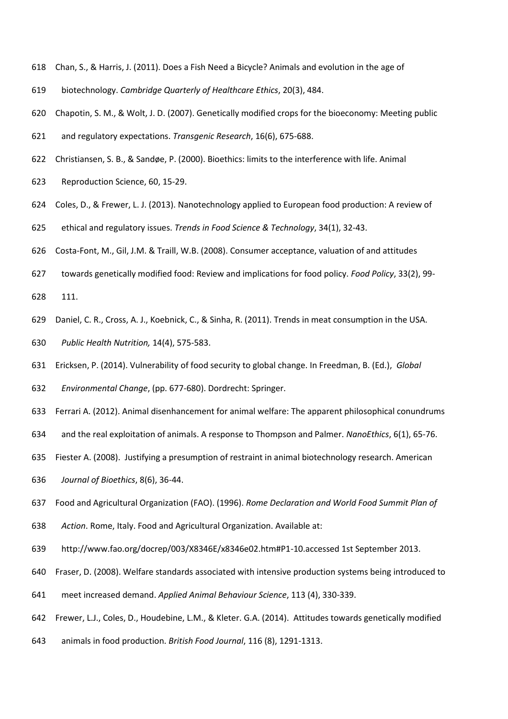- Chan, S., & Harris, J. (2011). Does a Fish Need a Bicycle? Animals and evolution in the age of
- biotechnology. *Cambridge Quarterly of Healthcare Ethics*, 20(3), 484.
- Chapotin, S. M., & Wolt, J. D. (2007). Genetically modified crops for the bioeconomy: Meeting public
- and regulatory expectations. *Transgenic Research*, 16(6), 675-688.
- Christiansen, S. B., & Sandøe, P. (2000). Bioethics: limits to the interference with life. Animal
- Reproduction Science, 60, 15-29.
- Coles, D., & Frewer, L. J. (2013). Nanotechnology applied to European food production: A review of
- ethical and regulatory issues. *Trends in Food Science & Technology*, 34(1), 32-43.
- Costa-Font, M., Gil, J.M. & Traill, W.B. (2008). Consumer acceptance, valuation of and attitudes
- towards genetically modified food: Review and implications for food policy. *Food Policy*, 33(2), 99-
- 111.
- Daniel, C. R., Cross, A. J., Koebnick, C., & Sinha, R. (2011). Trends in meat consumption in the USA. *Public Health Nutrition,* 14(4), 575-583.
- Ericksen, P. (2014). Vulnerability of food security to global change. In Freedman, B. (Ed.), *Global*
- *Environmental Change*, (pp. 677-680). Dordrecht: Springer.
- Ferrari A. (2012). Animal disenhancement for animal welfare: The apparent philosophical conundrums
- and the real exploitation of animals. A response to Thompson and Palmer. *NanoEthics*, 6(1), 65-76.
- Fiester A. (2008). Justifying a presumption of restraint in animal biotechnology research. American
- *Journal of Bioethics*, 8(6), 36-44.
- Food and Agricultural Organization (FAO). (1996). *Rome Declaration and World Food Summit Plan of*
- *Action*. Rome, Italy. Food and Agricultural Organization. Available at:
- http://www.fao.org/docrep/003/X8346E/x8346e02.htm#P1-10.accessed 1st September 2013.
- Fraser, D. (2008). Welfare standards associated with intensive production systems being introduced to
- meet increased demand. *Applied Animal Behaviour Science*, 113 (4), 330-339.
- Frewer, L.J., Coles, D., Houdebine, L.M., & Kleter. G.A. (2014). Attitudes towards genetically modified
- animals in food production. *British Food Journal*, 116 (8), 1291-1313.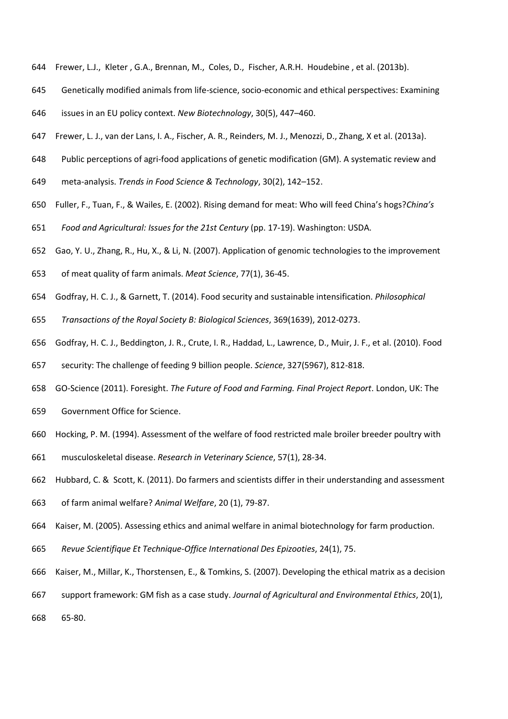- Frewer, L.J., Kleter , G.A., Brennan, M., Coles, D., Fischer, A.R.H. Houdebine , et al. (2013b).
- Genetically modified animals from life-science, socio-economic and ethical perspectives: Examining
- issues in an EU policy context. *New Biotechnology*, 30(5), 447–460.
- Frewer, L. J., van der Lans, I. A., Fischer, A. R., Reinders, M. J., Menozzi, D., Zhang, X et al. (2013a).
- Public perceptions of agri-food applications of genetic modification (GM). A systematic review and
- meta-analysis. *Trends in Food Science & Technology*, 30(2), 142–152.
- Fuller, F., Tuan, F., & Wailes, E. (2002). Rising demand for meat: Who will feed China's hogs?*China's*
- *Food and Agricultural: Issues for the 21st Century* (pp. 17-19). Washington: USDA.
- Gao, Y. U., Zhang, R., Hu, X., & Li, N. (2007). Application of genomic technologies to the improvement
- of meat quality of farm animals. *Meat Science*, 77(1), 36-45.
- Godfray, H. C. J., & Garnett, T. (2014). Food security and sustainable intensification. *Philosophical*
- *Transactions of the Royal Society B: Biological Sciences*, 369(1639), 2012-0273.
- Godfray, H. C. J., Beddington, J. R., Crute, I. R., Haddad, L., Lawrence, D., Muir, J. F., et al. (2010). Food
- security: The challenge of feeding 9 billion people. *Science*, 327(5967), 812-818.
- GO-Science (2011). Foresight. *The Future of Food and Farming. Final Project Report*. London, UK: The
- Government Office for Science.
- Hocking, P. M. (1994). Assessment of the welfare of food restricted male broiler breeder poultry with
- musculoskeletal disease. *Research in Veterinary Science*, 57(1), 28-34.
- Hubbard, C. & Scott, K. (2011). Do farmers and scientists differ in their understanding and assessment
- of farm animal welfare? *Animal Welfare*, 20 (1), 79-87.
- Kaiser, M. (2005). Assessing ethics and animal welfare in animal biotechnology for farm production.
- *Revue Scientifique Et Technique-Office International Des Epizooties*, 24(1), 75.
- Kaiser, M., Millar, K., Thorstensen, E., & Tomkins, S. (2007). Developing the ethical matrix as a decision
- support framework: GM fish as a case study. *Journal of Agricultural and Environmental Ethics*, 20(1),
- 65-80.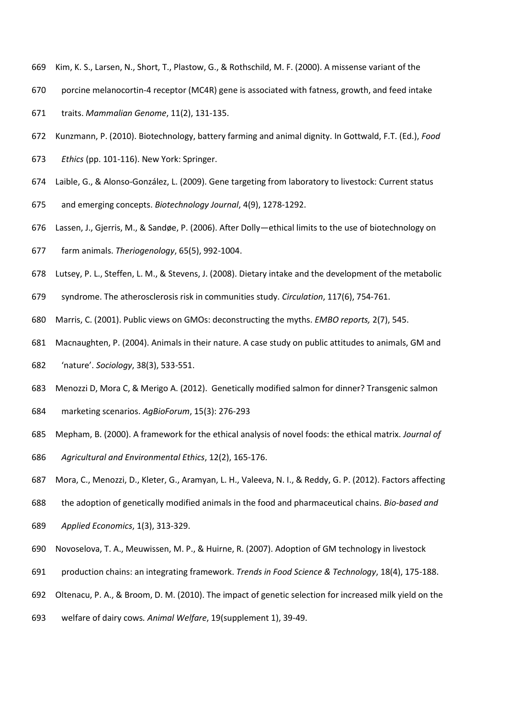- Kim, K. S., Larsen, N., Short, T., Plastow, G., & Rothschild, M. F. (2000). A missense variant of the
- porcine melanocortin-4 receptor (MC4R) gene is associated with fatness, growth, and feed intake

traits. *Mammalian Genome*, 11(2), 131-135.

- Kunzmann, P. (2010). Biotechnology, battery farming and animal dignity. In Gottwald, F.T. (Ed.), *Food*
- *Ethics* (pp. 101-116). New York: Springer.
- Laible, G., & Alonso‐González, L. (2009). Gene targeting from laboratory to livestock: Current status
- and emerging concepts. *Biotechnology Journal*, 4(9), 1278-1292.
- Lassen, J., Gjerris, M., & Sandøe, P. (2006). After Dolly—ethical limits to the use of biotechnology on
- farm animals. *Theriogenology*, 65(5), 992-1004.
- Lutsey, P. L., Steffen, L. M., & Stevens, J. (2008). Dietary intake and the development of the metabolic
- syndrome. The atherosclerosis risk in communities study. *Circulation*, 117(6), 754-761.
- Marris, C. (2001). Public views on GMOs: deconstructing the myths. *EMBO reports,* 2(7), 545.
- Macnaughten, P. (2004). Animals in their nature. A case study on public attitudes to animals, GM and
- 'nature'. *Sociology*, 38(3), 533-551.
- Menozzi D, Mora C, & Merigo A. (2012). Genetically modified salmon for dinner? Transgenic salmon
- marketing scenarios. *AgBioForum*, 15(3): 276-293
- Mepham, B. (2000). A framework for the ethical analysis of novel foods: the ethical matrix. *Journal of*
- *Agricultural and Environmental Ethics*, 12(2), 165-176.
- Mora, C., Menozzi, D., Kleter, G., Aramyan, L. H., Valeeva, N. I., & Reddy, G. P. (2012). Factors affecting
- the adoption of genetically modified animals in the food and pharmaceutical chains. *Bio-based and*
- *Applied Economics*, 1(3), 313-329.
- Novoselova, T. A., Meuwissen, M. P., & Huirne, R. (2007). Adoption of GM technology in livestock
- production chains: an integrating framework. *Trends in Food Science & Technology*, 18(4), 175-188.
- Oltenacu, P. A., & Broom, D. M. (2010). The impact of genetic selection for increased milk yield on the
- welfare of dairy cows*. Animal Welfare*, 19(supplement 1), 39-49.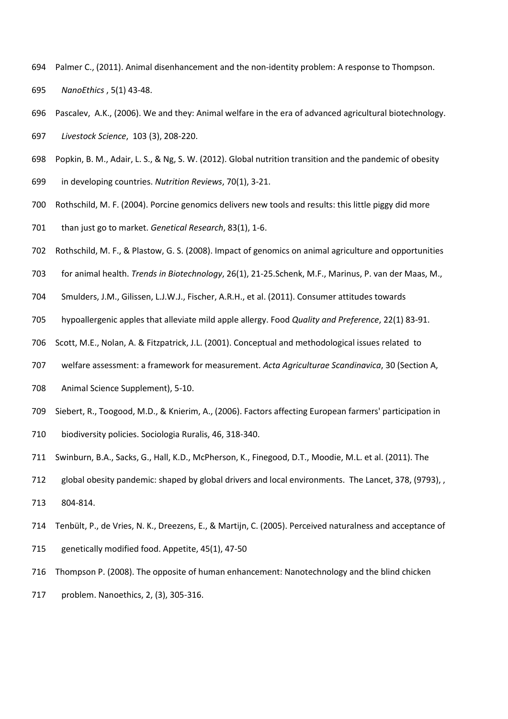- Palmer C., (2011). Animal disenhancement and the non-identity problem: A response to Thompson.
- *NanoEthics* , 5(1) 43-48.
- Pascalev, A.K., (2006). We and they: Animal welfare in the era of advanced agricultural biotechnology. *Livestock Science*, 103 (3), 208-220.
- Popkin, B. M., Adair, L. S., & Ng, S. W. (2012). Global nutrition transition and the pandemic of obesity
- in developing countries. *Nutrition Reviews*, 70(1), 3-21.
- Rothschild, M. F. (2004). Porcine genomics delivers new tools and results: this little piggy did more
- than just go to market. *Genetical Research*, 83(1), 1-6.
- Rothschild, M. F., & Plastow, G. S. (2008). Impact of genomics on animal agriculture and opportunities
- for animal health. *Trends in Biotechnology*, 26(1), 21-25.Schenk, M.F., Marinus, P. van der Maas, M.,
- Smulders, J.M., Gilissen, L.J.W.J., Fischer, A.R.H., et al. (2011). Consumer attitudes towards
- hypoallergenic apples that alleviate mild apple allergy. Food *Quality and Preference*, 22(1) 83-91.
- Scott, M.E., Nolan, A. & Fitzpatrick, J.L. (2001). Conceptual and methodological issues related to
- welfare assessment: a framework for measurement. *Acta Agriculturae Scandinavica*, 30 (Section A,
- Animal Science Supplement), 5-10.
- Siebert, R., Toogood, M.D., & Knierim, A., (2006). Factors affecting European farmers' participation in
- biodiversity policies. Sociologia Ruralis, 46, 318-340.
- Swinburn, B.A., Sacks, G., Hall, K.D., McPherson, K., Finegood, D.T., Moodie, M.L. et al. (2011). The
- 712 global obesity pandemic: shaped by global drivers and local environments. The Lancet, 378, (9793), , 804-814.
- Tenbült, P., de Vries, N. K., Dreezens, E., & Martijn, C. (2005). Perceived naturalness and acceptance of genetically modified food. Appetite, 45(1), 47-50
- Thompson P. (2008). The opposite of human enhancement: Nanotechnology and the blind chicken
- problem. Nanoethics, 2, (3), 305-316.